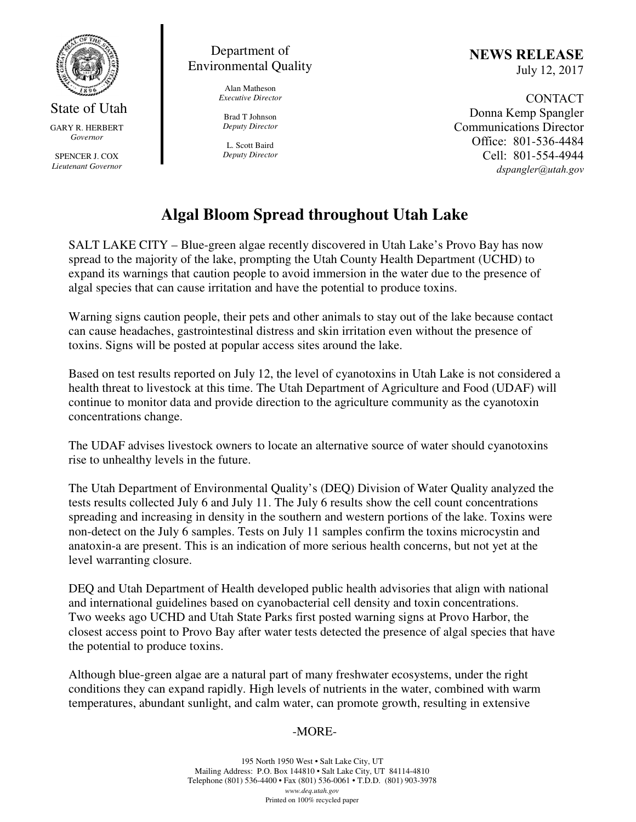

State of Utah GARY R. HERBERT *Governor* 

SPENCER J. COX *Lieutenant Governor* 



Alan Matheson *Executive Director* 

Brad T Johnson *Deputy Director* 

L. Scott Baird *Deputy Director* NEWS RELEASE July 12, 2017

CONTACT Donna Kemp Spangler Communications Director Office: 801-536-4484 Cell: 801-554-4944 dspangler@utah.gov

## **Algal Bloom Spread throughout Utah Lake**

SALT LAKE CITY – Blue-green algae recently discovered in Utah Lake's Provo Bay has now spread to the majority of the lake, prompting the Utah County Health Department (UCHD) to expand its warnings that caution people to avoid immersion in the water due to the presence of algal species that can cause irritation and have the potential to produce toxins.

Warning signs caution people, their pets and other animals to stay out of the lake because contact can cause headaches, gastrointestinal distress and skin irritation even without the presence of toxins. Signs will be posted at popular access sites around the lake.

Based on test results reported on July 12, the level of cyanotoxins in Utah Lake is not considered a health threat to livestock at this time. The Utah Department of Agriculture and Food (UDAF) will continue to monitor data and provide direction to the agriculture community as the cyanotoxin concentrations change.

The UDAF advises livestock owners to locate an alternative source of water should cyanotoxins rise to unhealthy levels in the future.

The Utah Department of Environmental Quality's (DEQ) Division of Water Quality analyzed the tests results collected July 6 and July 11. The July 6 results show the cell count concentrations spreading and increasing in density in the southern and western portions of the lake. Toxins were non-detect on the July 6 samples. Tests on July 11 samples confirm the toxins microcystin and anatoxin-a are present. This is an indication of more serious health concerns, but not yet at the level warranting closure.

DEQ and Utah Department of Health developed public health advisories that align with national and international guidelines based on cyanobacterial cell density and toxin concentrations. Two weeks ago UCHD and Utah State Parks first posted warning signs at Provo Harbor, the closest access point to Provo Bay after water tests detected the presence of algal species that have the potential to produce toxins.

Although blue-green algae are a natural part of many freshwater ecosystems, under the right conditions they can expand rapidly. High levels of nutrients in the water, combined with warm temperatures, abundant sunlight, and calm water, can promote growth, resulting in extensive

## -MORE-

195 North 1950 West • Salt Lake City, UT Mailing Address: P.O. Box 144810 • Salt Lake City, UT 84114-4810 Telephone (801) 536-4400 • Fax (801) 536-0061 • T.D.D. (801) 903-3978 *www.deq.utah.gov*  Printed on 100% recycled paper